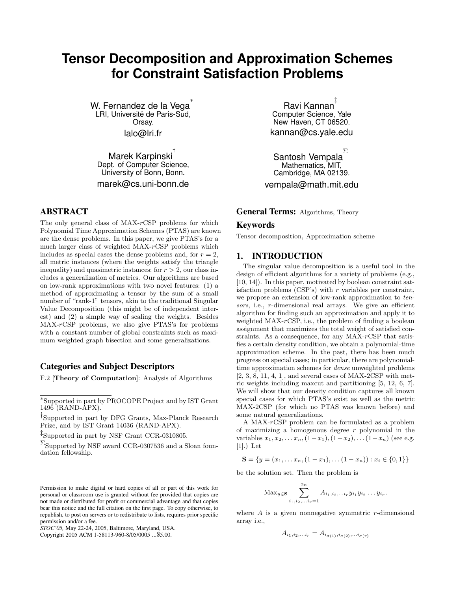# **Tensor Decomposition and Approximation Schemes for Constraint Satisfaction Problems**

W. Fernandez de la Vega<sup>\*</sup> LRI, Université de Paris-Sud, Orsay. lalo@lri.fr

Marek Karpinski<sup>™</sup> Dept. of Computer Science, University of Bonn, Bonn.

marek@cs.uni-bonn.de

# **ABSTRACT**

The only general class of  $MAX-rcSP$  problems for which Polynomial Time Approximation Schemes (PTAS) are known are the dense problems. In this paper, we give PTAS's for a much larger class of weighted MAX-rCSP problems which includes as special cases the dense problems and, for  $r = 2$ , all metric instances (where the weights satisfy the triangle inequality) and quasimetric instances; for  $r > 2$ , our class includes a generalization of metrics. Our algorithms are based on low-rank approximations with two novel features: (1) a method of approximating a tensor by the sum of a small number of "rank-1" tensors, akin to the traditional Singular Value Decomposition (this might be of independent interest) and (2) a simple way of scaling the weights. Besides MAX-rCSP problems, we also give PTAS's for problems with a constant number of global constraints such as maximum weighted graph bisection and some generalizations.

## **Categories and Subject Descriptors**

F.2 [Theory of Computation]: Analysis of Algorithms

† Supported in part by DFG Grants, Max-Planck Research Prize, and by IST Grant 14036 (RAND-APX).

‡ Supported in part by NSF Grant CCR-0310805.

 $\Sigma_{\text{Supported by NSF award CCR-0307536}$  and a Sloan foundation fellowship.

Copyright 2005 ACM 1-58113-960-8/05/0005 ...\$5.00.

Ravi Kannan<sup>‡</sup> Computer Science, Yale New Haven, CT 06520. kannan@cs.yale.edu

Santosh Vempala $^{\Sigma}$ Mathematics, MIT, Cambridge, MA 02139. vempala@math.mit.edu

**General Terms:** Algorithms, Theory

#### **Keywords**

Tensor decomposition, Approximation scheme

## **1. INTRODUCTION**

The singular value decomposition is a useful tool in the design of efficient algorithms for a variety of problems (e.g., [10, 14]). In this paper, motivated by boolean constraint satisfaction problems  $(CSP's)$  with r variables per constraint, we propose an extension of low-rank approximation to tensors, i.e., r-dimensional real arrays. We give an efficient algorithm for finding such an approximation and apply it to weighted MAX-rCSP, i.e., the problem of finding a boolean assignment that maximizes the total weight of satisfied constraints. As a consequence, for any MAX-rCSP that satisfies a certain density condition, we obtain a polynomial-time approximation scheme. In the past, there has been much progress on special cases; in particular, there are polynomialtime approximation schemes for dense unweighted problems [2, 3, 8, 11, 4, 1], and several cases of MAX-2CSP with metric weights including maxcut and partitioning [5, 12, 6, 7]. We will show that our density condition captures all known special cases for which PTAS's exist as well as the metric MAX-2CSP (for which no PTAS was known before) and some natural generalizations.

A MAX-rCSP problem can be formulated as a problem of maximizing a homogenous degree  $r$  polynomial in the variables  $x_1, x_2, \ldots x_n, (1-x_1), (1-x_2), \ldots (1-x_n)$  (see e.g. [1].) Let

$$
\mathbf{S} = \{y = (x_1, \dots, x_n, (1 - x_1), \dots (1 - x_n)) : x_i \in \{0, 1\}\}\
$$

be the solution set. Then the problem is

$$
\text{Max}_{y \in \mathbf{S}} \sum_{i_1, i_2, \dots, i_r=1}^{2n} A_{i_1, i_2, \dots, i_r} y_{i_1} y_{i_2} \dots y_{i_r}.
$$

where  $A$  is a given nonnegative symmetric  $r$ -dimensional array i.e.,

$$
A_{i_1, i_2, \dots i_r} = A_{i_{\sigma(1)}, i_{\sigma(2)}, \dots i_{\sigma(r)}}
$$

<sup>∗</sup> Supported in part by PROCOPE Project and by IST Grant  $1496$  (RAND- $\rm{\AA PX}$ ).

Permission to make digital or hard copies of all or part of this work for personal or classroom use is granted without fee provided that copies are not made or distributed for profit or commercial advantage and that copies bear this notice and the full citation on the first page. To copy otherwise, to republish, to post on servers or to redistribute to lists, requires prior specific permission and/or a fee.

*STOC'05,* May 22-24, 2005, Baltimore, Maryland, USA.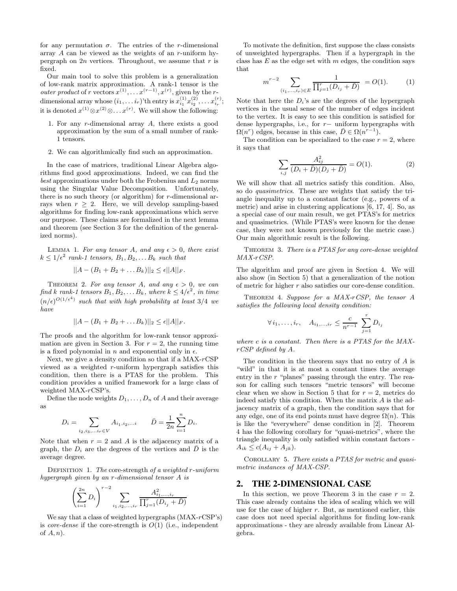for any permutation  $\sigma$ . The entries of the *r*-dimensional array A can be viewed as the weights of an r-uniform hypergraph on  $2n$  vertices. Throughout, we assume that r is fixed.

Our main tool to solve this problem is a generalization of low-rank matrix approximation. A rank-1 tensor is the *outer product* of r vectors  $x^{(1)}, \ldots x^{(r-1)}, x^{(r)}$ , given by the rdimensional array whose  $(i_1, \ldots i_r)$ 'th entry is  $x_{i_1}^{(1)} x_{i_2}^{(2)}, \ldots x_{i_r}^{(r)}$ ; it is denoted  $x^{(1)} \otimes x^{(2)} \otimes \ldots x^{(r)}$ . We will show the following:

- 1. For any r-dimensional array A, there exists a good approximation by the sum of a small number of rank-1 tensors.
- 2. We can algorithmically find such an approximation.

In the case of matrices, traditional Linear Algebra algorithms find good approximations. Indeed, we can find the best approximations under both the Frobenius and  $L_2$  norms using the Singular Value Decomposition. Unfortunately, there is no such theory (or algorithm) for  $r$ -dimensional arrays when  $r \geq 2$ . Here, we will develop sampling-based algorithms for finding low-rank approximations which serve our purpose. These claims are formalized in the next lemma and theorem (see Section 3 for the definition of the generalized norms).

LEMMA 1. For any tensor A, and any  $\epsilon > 0$ , there exist  $k \leq 1/\epsilon^2$  rank-1 tensors,  $B_1, B_2, \ldots B_k$  such that

$$
||A-(B_1+B_2+\ldots B_k)||_2\leq \epsilon ||A||_F.
$$

THEOREM 2. For any tensor A, and any  $\epsilon > 0$ , we can find k rank-1 tensors  $B_1, B_2, \ldots B_k$ , where  $k \leq 4/\epsilon^2$ , in time  $(n/\epsilon)^{O(1/\epsilon^4)}$  such that with high probability at least 3/4 we have

$$
||A - (B_1 + B_2 + \dots B_k)||_2 \le \epsilon ||A||_F.
$$

The proofs and the algorithm for low-rank tensor approximation are given in Section 3. For  $r = 2$ , the running time is a fixed polynomial in n and exponential only in  $\epsilon$ .

Next, we give a density condition so that if a  $MAX-rcSP$ viewed as a weighted r-uniform hypergraph satisfies this condition, then there is a PTAS for the problem. This condition provides a unified framework for a large class of weighted MAX-rCSP's.

Define the node weights  $D_1, \ldots, D_n$  of A and their average as

$$
D_i = \sum_{i_2, i_3, \dots, i_r \in V} A_{i_1, i_2, \dots, i} \qquad \bar{D} = \frac{1}{2n} \sum_{i=1}^n D_i.
$$

Note that when  $r = 2$  and A is the adjacency matrix of a graph, the  $D_i$  are the degrees of the vertices and  $\bar{D}$  is the average degree.

DEFINITION 1. The core-strength of a weighted r-uniform hypergraph given by an r-dimensional tensor A is

$$
\left(\sum_{i=1}^{2n} D_i\right)^{r-2} \sum_{i_1, i_2, \dots, i_r} \frac{A_{i_1, \dots, i_r}^2}{\prod_{j=1}^r (D_{i_j} + \bar{D})}
$$

We say that a class of weighted hypergraphs  $(MAX-rcSP's)$ is *core-dense* if the core-strength is  $O(1)$  (i.e., independent of  $A, n$ ).

To motivate the definition, first suppose the class consists of unweighted hypergraphs. Then if a hypergraph in the class has  $E$  as the edge set with  $m$  edges, the condition says that

$$
m^{r-2} \sum_{(i_1,\dots,i_r)\in E} \frac{1}{\prod_{j=1}^r (D_{i_j} + \bar{D})} = O(1). \tag{1}
$$

Note that here the  $D_i$ 's are the degrees of the hypergraph vertices in the usual sense of the number of edges incident to the vertex. It is easy to see this condition is satisfied for dense hypergraphs, i.e., for r− uniform hypergraphs with  $\Omega(n^r)$  edges, because in this case,  $\overline{D} \in \Omega(n^{r-1})$ .

The condition can be specialized to the case  $r = 2$ , where it says that

$$
\sum_{i,j} \frac{A_{ij}^2}{(D_i + \bar{D})(D_j + \bar{D})} = O(1). \tag{2}
$$

We will show that all metrics satisfy this condition. Also, so do quasimetrics. These are weights that satisfy the triangle inequality up to a constant factor (e.g., powers of a metric) and arise in clustering applications [6, 17, 4]. So, as a special case of our main result, we get PTAS's for metrics and quasimetrics. (While PTAS's were known for the dense case, they were not known previously for the metric case.) Our main algorithmic result is the following.

THEOREM 3. There is a PTAS for any core-dense weighted MAX-rCSP.

The algorithm and proof are given in Section 4. We will also show (in Section 5) that a generalization of the notion of metric for higher r also satisfies our core-dense condition.

THEOREM 4. Suppose for a  $MAX\text{-}CSP$ , the tensor A satisfies the following local density condition:

$$
\forall i_1, \ldots, i_r, \quad A_{i_1, \ldots, i_r} \leq \frac{c}{n^{r-1}} \sum_{j=1}^r D_{i_j}
$$

where c is a constant. Then there is a PTAS for the MAXrCSP defined by A.

The condition in the theorem says that no entry of  $A$  is "wild" in that it is at most a constant times the average entry in the  $r$  "planes" passing through the entry. The reason for calling such tensors "metric tensors" will become clear when we show in Section 5 that for  $r = 2$ , metrics do indeed satisfy this condition. When the matrix A is the adjacency matrix of a graph, then the condition says that for any edge, one of its end points must have degree  $\Omega(n)$ . This is like the "everywhere" dense condition in [2]. Theorem 4 has the following corollary for "quasi-metrics", where the triangle inequality is only satisfied within constant factors -  $A_{ik} \le c(A_{ij} + A_{jk}).$ 

COROLLARY 5. There exists a PTAS for metric and quasimetric instances of MAX-CSP.

#### **2. THE 2-DIMENSIONAL CASE**

In this section, we prove Theorem 3 in the case  $r = 2$ . This case already contains the idea of scaling which we will use for the case of higher  $r$ . But, as mentioned earlier, this case does not need special algorithms for finding low-rank approximations - they are already available from Linear Algebra.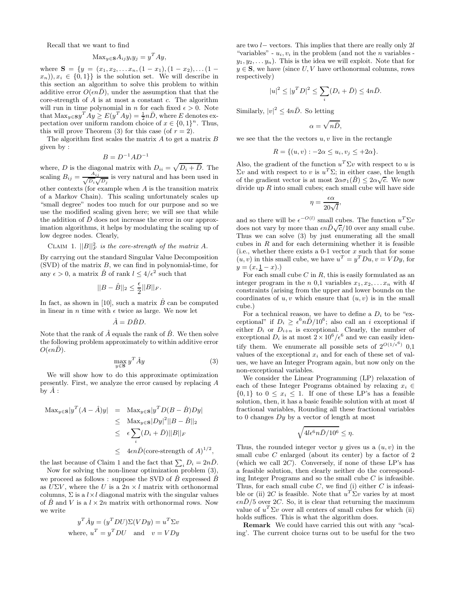Recall that we want to find

$$
ext{Max}_{y \in \mathbf{S}} A_{ij} y_i y_j = y^T A y,
$$

where  $S = \{y = (x_1, x_2, \ldots, x_n, (1 - x_1), (1 - x_2), \ldots, (1 - x_n)\}$  $(x_n), x_i \in \{0,1\}$  is the solution set. We will describe in this section an algorithm to solve this problem to within additive error  $O(\epsilon nD)$ , under the assumption that that the core-strength of  $A$  is at most a constant  $c$ . The algorithm will run in time polynomial in *n* for each fixed  $\epsilon > 0$ . Note that  $\text{Max}_{y \in \mathbf{S}} y^T A y \ge E(y^T A y) = \frac{1}{2} n \overline{D}$ , where  $E$  denotes expectation over uniform random choice of  $x \in \{0,1\}^n$ . Thus, this will prove Theorem (3) for this case (of  $r = 2$ ).

The algorithm first scales the matrix  $A$  to get a matrix  $B$ given by :

$$
B = D^{-1}AD^{-1}
$$

where, D is the diagonal matrix with  $D_{ii} = \sqrt{D_i + \bar{D}}$ . The scaling  $B_{ij} = \frac{A_{ij}}{\sqrt{D_{ij}}}$  $\frac{A_{ij}}{D_i \sqrt{D_j}}$  is very natural and has been used in other contexts (for example when A is the transition matrix of a Markov Chain). This scaling unfortunately scales up "small degree" nodes too much for our purpose and so we use the modified scaling given here; we will see that while the addition of  $\bar{D}$  does not increase the error in our approximation algorithms, it helps by modulating the scaling up of low degree nodes. Clearly,

# CLAIM 1.  $||B||_F^2$  is the core-strength of the matrix A.

By carrying out the standard Singular Value Decomposition  $(SVD)$  of the matrix  $B$ , we can find in polynomial-time, for any  $\epsilon > 0$ , a matrix  $\hat{B}$  of rank  $l \leq 4/\epsilon^2$  such that

$$
||B - \hat{B}||_2 \le \frac{\epsilon}{2} ||B||_F.
$$

In fact, as shown in [10], such a matrix  $\hat{B}$  can be computed in linear in n time with  $\epsilon$  twice as large. We now let

$$
\hat{A} = D\hat{B}D.
$$

Note that the rank of  $\hat{A}$  equals the rank of  $\hat{B}$ . We then solve the following problem approximately to within additive error  $O(\epsilon nD)$ .

$$
\max_{y \in \mathbf{S}} y^T \hat{A} y \tag{3}
$$

We will show how to do this approximate optimization presently. First, we analyze the error caused by replacing A by  $\ddot{A}$  :

$$
\begin{array}{rcl}\n\text{Max}_{y \in \mathbf{S}}|y^T (A - \hat{A})y| & = & \text{Max}_{y \in \mathbf{S}}|y^T D(B - \hat{B})Dy| \\
& \leq & \text{Max}_{y \in \mathbf{S}}|Dy|^2||B - \hat{B}||_2 \\
& \leq & \epsilon \sum_{i} (D_i + \bar{D})||B||_F \\
& \leq & 4\epsilon n \bar{D}(\text{core-strength of } A)^{1/2},\n\end{array}
$$

the last because of Claim 1 and the fact that  $\sum_i D_i = 2n\bar{D}$ .

Now for solving the non-linear optimization problem (3), we proceed as follows : suppose the SVD of  $\hat{B}$  expressed  $\hat{B}$ as  $U\Sigma V$ , where the U is a  $2n \times l$  matrix with orthonormal columns,  $\Sigma$  is a  $l \times l$  diagonal matrix with the singular values of  $\ddot{B}$  and  $V$  is a  $l \times 2n$  matrix with orthonormal rows. Now we write

$$
y^T \hat{A}y = (y^T D U) \Sigma (V D y) = u^T \Sigma v
$$
  
where,  $u^T = y^T D U$  and  $v = V D y$ 

are two l− vectors. This implies that there are really only 2l "variables" -  $u_i, v_i$  in the problem (and not the *n* variables  $y_1, y_2, \ldots, y_n$ . This is the idea we will exploit. Note that for  $y \in \mathbf{S}$ , we have (since U, V have orthonormal columns, rows respectively)

$$
|u|^2 \le |y^T D|^2 \le \sum_i (D_i + \bar{D}) \le 4n\bar{D}.
$$

Similarly,  $|v|^2 \le 4n\overline{D}$ . So letting

$$
\alpha=\sqrt{n}\overline{D},
$$

we see that the the vectors  $u, v$  live in the rectangle

$$
R = \{(u, v) : -2\alpha \le u_i, v_j \le +2\alpha\}.
$$

Also, the gradient of the function  $u^T \Sigma v$  with respect to u is  $\Sigma v$  and with respect to v is  $u^T \Sigma$ ; in either case, the length of the gradient vector is at most  $2\alpha\sigma_1(\hat{B}) \leq 2\alpha\sqrt{c}$ . We now divide up  $R$  into small cubes; each small cube will have side

$$
\eta = \frac{\epsilon \alpha}{20\sqrt{l}},
$$

and so there will be  $\epsilon^{-O(l)}$  small cubes. The function  $u^T \Sigma v$ does not vary by more than  $\epsilon n\bar{D}\sqrt{c}/10$  over any small cube. Thus we can solve (3) by just enumerating all the small cubes in  $R$  and for each determining whether it is feasible (i.e., whether there exists a 0-1 vector  $x$  such that for some  $(u, v)$  in this small cube, we have  $u<sup>T</sup> = y<sup>T</sup> Du$ ,  $v = V D y$ , for  $y = (x, \underline{1} - x).$ 

For each small cube  $C$  in  $R$ , this is easily formulated as an integer program in the n 0,1 variables  $x_1, x_2, \ldots x_n$  with 4l constraints (arising from the upper and lower bounds on the coordinates of  $u, v$  which ensure that  $(u, v)$  is in the small cube.)

For a technical reason, we have to define a  $D_i$  to be "exceptional" if  $D_i \geq \frac{\epsilon^6 n \bar{D}}{10^6}$ ; also call an i exceptional if either  $D_i$  or  $D_{i+n}$  is exceptional. Clearly, the number of exceptional  $D_i$  is at most  $2 \times 10^6/\epsilon^6$  and we can easily identify them. We enumerate all possible sets of  $2^{O(1/\epsilon^6)}$  0,1 values of the exceptional  $x_i$  and for each of these set of values, we have an Integer Program again, but now only on the non-exceptional variables.

We consider the Linear Programming (LP) relaxation of each of these Integer Programs obtained by relaxing  $x_i \in$  $\{0,1\}$  to  $0 \leq x_i \leq 1$ . If one of these LP's has a feasible solution, then, it has a basic feasible solution with at most 4l fractional variables, Rounding all these fractional variables to 0 changes  $Dy$  by a vector of length at most

$$
\sqrt{4l\epsilon^6n\bar{D}/10^6} \le \eta.
$$

Thus, the rounded integer vector y gives us a  $(u, v)$  in the small cube C enlarged (about its center) by a factor of 2 (which we call  $2C$ ). Conversely, if none of these  $LP$ 's has a feasible solution, then clearly neither do the corresponding Integer Programs and so the small cube  $C$  is infeasible. Thus, for each small cube  $C$ , we find (i) either  $C$  is infeasible or (ii) 2C is feasible. Note that  $u^T \Sigma v$  varies by at most  $\epsilon n\bar{D}/5$  over 2C. So, it is clear that returning the maximum value of  $u^T \Sigma v$  over all centers of small cubes for which (ii) holds suffices. This is what the algorithm does.

Remark We could have carried this out with any "scaling'. The current choice turns out to be useful for the two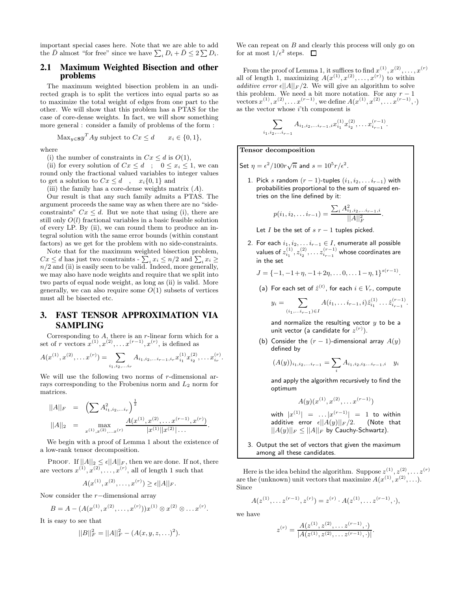important special cases here. Note that we are able to add the  $\bar{D}$  almost "for free" since we have  $\sum_i D_i + \bar{D} \leq 2 \sum D_i$ .

## **2.1 Maximum Weighted Bisection and other problems**

The maximum weighted bisection problem in an undirected graph is to split the vertices into equal parts so as to maximize the total weight of edges from one part to the other. We will show that this problem has a PTAS for the case of core-dense weights. In fact, we will show something more general : consider a family of problems of the form :

$$
\text{Max}_{y \in \mathbf{S}} y^T A y \text{ subject to } C x \le d \qquad x_i \in \{0, 1\},
$$

where

(i) the number of constraints in  $Cx \leq d$  is  $O(1)$ ,

(ii) for every solution of  $Cx \leq d$ ;  $0 \leq x_i \leq 1$ , we can round only the fractional valued variables to integer values to get a solution to  $Cx \leq d$ ,  $x_i\{0,1\}$  and

(iii) the family has a core-dense weights matrix  $(A)$ .

Our result is that any such family admits a PTAS. The argument proceeds the same way as when there are no "sideconstraints"  $Cx \leq d$ . But we note that using (i), there are still only  $O(l)$  fractional variables in a basic feasible solution of every LP. By (ii), we can round them to produce an integral solution with the same error bounds (within constant factors) as we get for the problem with no side-constraints.

Note that for the maximum weighted bisection problem,  $Cx \leq d$  has just two constraints -  $\sum_i x_i \leq n/2$  and  $\sum_i x_i \geq n/2$  and (ii) is easily seen to be valid. Indeed, more generally, we may also have node weights and require that we split into two parts of equal node weight, as long as (ii) is valid. More generally, we can also require some  $O(1)$  subsets of vertices must all be bisected etc.

# **3. FAST TENSOR APPROXIMATION VIA SAMPLING**

Corresponding to  $A$ , there is an  $r$ -linear form which for a set of r vectors  $x^{(1)}, x^{(2)}, \ldots x^{(r-1)}, x^{(r)}$ , is defined as

$$
A(x^{(1)}, x^{(2)}, \dots x^{(r)}) = \sum_{i_1, i_2, \dots, i_r} A_{i_1, i_2, \dots, i_{r-1}, i_r} x_{i_1}^{(1)} x_{i_2}^{(2)}, \dots x_{i_r}^{(r)}.
$$

We will use the following two norms of  $r$ -dimensional arrays corresponding to the Frobenius norm and  $L_2$  norm for matrices.

$$
||A||_F = \left(\sum A_{i_1, i_2, \ldots, i_r}^2\right)^{\frac{1}{2}} ||A||_2 = \max_{x^{(1)}, x^{(2)}, \ldots, x^{(r)}} \frac{A(x^{(1)}, x^{(2)}, \ldots, x^{(r-1)}, x^{(r)})}{|x^{(1)}||x^{(2)}| \ldots}.
$$

We begin with a proof of Lemma 1 about the existence of a low-rank tensor decomposition.

PROOF. If  $||A||_2 \leq \epsilon ||A||_F$ , then we are done. If not, there are vectors  $x^{(1)}, x^{(2)}, \ldots, x^{(r)}$ , all of length 1 such that

$$
A(x^{(1)}, x^{(2)}, \dots, x^{(r)}) \ge \epsilon ||A||_F.
$$

Now consider the r−dimensional array

$$
B = A - (A(x^{(1)}, x^{(2)}, \dots, x^{(r)}))x^{(1)} \otimes x^{(2)} \otimes \dots x^{(r)}.
$$

It is easy to see that

$$
||B||_F^2 = ||A||_F^2 - (A(x, y, z, \ldots)^2).
$$

We can repeat on  $B$  and clearly this process will only go on for at most  $1/\epsilon^2$  steps.

From the proof of Lemma 1, it suffices to find  $x^{(1)}, x^{(2)}, \ldots, x^{(r)}$ all of length 1, maximizing  $A(x^{(1)}, x^{(2)}, \ldots, x^{(r)})$  to within additive error  $\epsilon ||A||_F / 2$ . We will give an algorithm to solve this problem. We need a bit more notation. For any  $r-1$ vectors  $x^{(1)}, x^{(2)}, \ldots x^{(r-1)}$ , we define  $A(x^{(1)}, x^{(2)}, \ldots x^{(r-1)}, \cdot)$ as the vector whose  $i$ 'th component is

$$
\sum_{i_1,i_2,\ldots i_{r-1}} A_{i_1,i_2,\ldots i_{r-1},i} x_{i_1}^{(1)} x_{i_2}^{(2)},\ldots x_{i_{r-1}}^{(r-1)}.
$$

Tensor decomposition

Set  $\eta = \epsilon^2/100r\sqrt{n}$  and  $s = 10^5r/\epsilon^2$ .

1. Pick s random  $(r-1)$ -tuples  $(i_1, i_2, \ldots i_{r-1})$  with probabilities proportional to the sum of squared entries on the line defined by it:

$$
p(i_1, i_2, \ldots i_{r-1}) = \frac{\sum_i A_{i_1, i_2, \ldots i_{r-1}, i}^2}{||A||_F^2}.
$$

Let I be the set of  $s$   $r - 1$  tuples picked.

2. For each  $i_1, i_2, \ldots i_{r-1} \in I$ , enumerate all possible values of  $z_{i_1}^{(1)}, z_{i_2}^{(2)}, \ldots z_{i_{r-1}}^{(r-1)}$  whose coordinates are in the set

$$
J = \{-1, -1+\eta, -1+2\eta, \dots 0, \dots 1-\eta, 1\}^{s(r-1)}.
$$

(a) For each set of  $\hat{z}^{(t)}$ , for each  $i \in V_r$ , compute

$$
y_i = \sum_{(i_1,\ldots,i_{r-1})\in I} A(i_1,\ldots,i_{r-1},i) \hat{z}_{i_1}^{(1)} \ldots \hat{z}_{i_{r-1}}^{(r-1)}.
$$

and normalize the resulting vector  $y$  to be a unit vector (a candidate for  $z^{(r)}$ ).

(b) Consider the  $(r - 1)$ -dimensional array  $A(y)$ defined by

$$
(A(y))_{i_1,i_2,\dots i_{r-1}} = \sum_i A_{i_1,i_2,i_3\dots i_{r-1},i} \quad y_i
$$

and apply the algorithm recursively to find the optimum

$$
A(y)(x^{(1)}, x^{(2)}, \ldots x^{(r-1)})
$$

with  $|x^{(1)}| = ... |x^{(r-1)}| = 1$  to within additive error  $\epsilon ||A(y)||_F /2$ . (Note that  $||A(y)||_F \leq ||A||_F$  by Cauchy-Schwartz).

3. Output the set of vectors that given the maximum among all these candidates.

Here is the idea behind the algorithm. Suppose  $z^{(1)}, z^{(2)}, \ldots z^{(r)}$ are the (unknown) unit vectors that maximize  $A(x^{(1)}, x^{(2)}, \ldots)$ . Since

$$
A(z^{(1)}, \ldots z^{(r-1)}, z^{(r)}) = z^{(r)} \cdot A(z^{(1)}, \ldots z^{(r-1)}, \cdot),
$$

we have

$$
z^{(r)} = \frac{A(z^{(1)}, z^{(2)}, \dots z^{(r-1)}, \cdot)}{|A(z^{(1)}, z^{(2)}, \dots z^{(r-1)}, \cdot)|}.
$$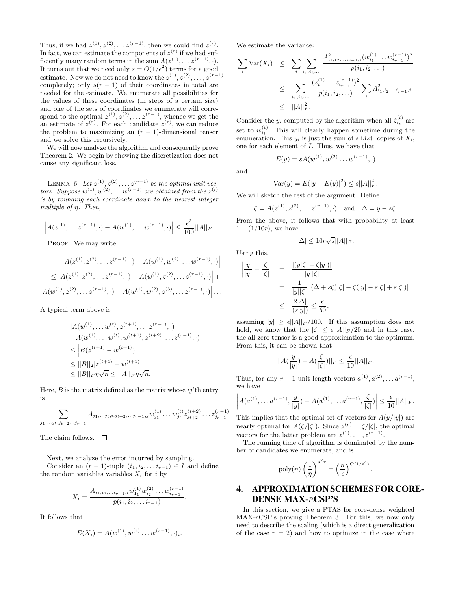Thus, if we had  $z^{(1)}, z^{(2)}, \ldots z^{(r-1)}$ , then we could find  $z^{(r)}$ . In fact, we can estimate the components of  $z^{(r)}$  if we had sufficiently many random terms in the sum  $A(z^{(1)}, \ldots z^{(r-1)}, \cdot)$ . It turns out that we need only  $s = O(1/\epsilon^2)$  terms for a good estimate. Now we do not need to know the  $z^{(1)}, z^{(2)}, \ldots, z^{(r-1)}$ completely; only  $s(r-1)$  of their coordinates in total are needed for the estimate. We enumerate all possibilities for the values of these coordinates (in steps of a certain size) and one of the sets of coordinates we enumerate will correspond to the optimal  $z^{(1)}, z^{(2)}, \ldots z^{(r-1)}$ , whence we get the an estimate of  $z^{(r)}$ . For each candidate  $z^{(r)}$ , we can reduce the problem to maximizing an  $(r - 1)$ -dimensional tensor and we solve this recursively.

We will now analyze the algorithm and consequently prove Theorem 2. We begin by showing the discretization does not cause any significant loss.

LEMMA 6. Let  $z^{(1)}, z^{(2)}, \ldots z^{(r-1)}$  be the optimal unit vectors. Suppose  $w^{(1)}, w^{(2)}, \ldots w^{(r-1)}$  are obtained from the  $z^{(t)}$ 's by rounding each coordinate down to the nearest integer multiple of η. Then,

$$
\left| A(z^{(1)}, \ldots z^{(r-1)}, \cdot) - A(w^{(1)}, \ldots w^{(r-1)}, \cdot) \right| \leq \frac{\epsilon^2}{100} ||A||_F.
$$

PROOF. We may write

$$
\left| A(z^{(1)}, z^{(2)}, \dots z^{(r-1)}, \cdot) - A(w^{(1)}, w^{(2)}, \dots w^{(r-1)}, \cdot) \right|
$$
  
\n
$$
\leq \left| A(z^{(1)}, z^{(2)}, \dots z^{(r-1)}, \cdot) - A(w^{(1)}, z^{(2)}, \dots z^{(r-1)}, \cdot) \right| +
$$
  
\n
$$
\left| A(w^{(1)}, z^{(2)}, \dots z^{(r-1)}, \cdot) - A(w^{(1)}, w^{(2)}, z^{(3)}, \dots z^{(r-1)}, \cdot) \right| \dots
$$

A typical term above is

$$
|A(w^{(1)}, \dots w^{(t)}, z^{(t+1)}, \dots z^{(r-1)}, \cdot) - A(w^{(1)}, \dots w^{(t)}, w^{(t+1)}, z^{(t+2)}, \dots z^{(r-1)}, \cdot)|
$$
  
\n
$$
\leq |B(z^{(t+1)} - w^{(t+1)})|
$$
  
\n
$$
\leq ||B||_2 |z^{(t+1)} - w^{(t+1)}|
$$
  
\n
$$
\leq ||B||_F \eta \sqrt{n} \leq ||A||_F \eta \sqrt{n}.
$$

Here,  $B$  is the matrix defined as the matrix whose  $ij$ <sup>th</sup> entry is

$$
\sum_{j_1,\ldots,j_t,j_{t+2}\ldots,j_{r-1}} A_{j_1,\ldots,j_t,i,j_{t+2},\ldots,j_{r-1},j} w_{j_1}^{(1)}\ldots w_{j_t}^{(t)} z_{j_{t+2}}^{(t+2)}\ldots z_{j_{r-1}}^{(r-1)}
$$

The claim follows.  $\Box$ 

Next, we analyze the error incurred by sampling. Consider an  $(r-1)$ -tuple  $(i_1, i_2, \ldots i_{r-1}) \in I$  and define the random variables variables  $X_i$  for i by

$$
X_i = \frac{A_{i_1,i_2,\dots,i_{r-1},i}w_{1_1}^{(1)}w_{i_2}^{(2)}\dots w_{i_{r-1}}^{(r-1)}}{p(i_1,i_2,\dots,i_{r-1})}.
$$

It follows that

$$
E(X_i) = A(w^{(1)}, w^{(2)} \dots w^{(r-1)}, \cdot)_i.
$$

We estimate the variance:

$$
\sum_{i} \text{Var}(X_i) \leq \sum_{i} \sum_{i_1, i_2, \dots} \frac{A_{i_1, i_2, \dots i_{r-1}, i}^2 (w_{i_1}^{(1)} \dots w_{i_{r-1}}^{(r-1)})^2}{p(i_1, i_2, \dots)}
$$

$$
\leq \sum_{i_1, i_2, \dots} \frac{(z_{i_1}^{(1)} \dots z_{i_{r-1}}^{(r-1)})^2}{p(i_1, i_2, \dots)} \sum_{i} A_{i_1, i_2, \dots i_{r-1}, i}^2
$$

$$
\leq ||A||_F^2.
$$

Consider the  $y_i$  computed by the algorithm when all  $\hat{z}_{i_t}^{(t)}$  are set to  $w_{i_t}^{(t)}$ . This will clearly happen sometime during the enumeration. This  $y_i$  is just the sum of s i.i.d. copies of  $X_i$ , one for each element of I. Thus, we have that

$$
E(y) = sA(w^{(1)}, w^{(2)} \dots w^{(r-1)}, \cdot)
$$

and

$$
Var(y) = E(|y - E(y)|^2) \le s ||A||_F^2.
$$

We will sketch the rest of the argument. Define

$$
\zeta = A(z^{(1)}, z^{(2)}, \dots z^{(r-1)}, \cdot)
$$
 and  $\Delta = y - s\zeta$ .

From the above, it follows that with probability at least  $1 - (1/10r)$ , we have

$$
|\Delta|\leq 10r\sqrt{s}||A||_F.
$$

Using this,

 $\mid$  $\frac{1}{2}$  $\frac{1}{2}$  $\overline{a}$ 

$$
\left| \frac{y}{|y|} - \frac{\zeta}{|\zeta|} \right| = \frac{|(y|\zeta| - \zeta|y|)|}{|y||\zeta|}
$$
  

$$
= \frac{1}{|y||\zeta|} |(\Delta + s\zeta)|\zeta| - \zeta(|y| - s|\zeta| + s|\zeta|)|
$$
  

$$
\leq \frac{2|\Delta|}{(s|y|)} \leq \frac{\epsilon}{50},
$$

assuming  $|y| \geq \epsilon ||A||_F / 100$ . If this assumption does not hold, we know that the  $|\zeta| \leq \epsilon ||A||_F / 20$  and in this case, the all-zero tensor is a good approximation to the optimum. From this, it can be shown that

$$
||A(\frac{y}{|y|}) - A(\frac{\zeta}{|\zeta|})||_F \le \frac{\epsilon}{10}||A||_F.
$$

Thus, for any  $r-1$  unit length vectors  $a^{(1)}, a^{(2)}, \ldots a^{(r-1)}$ , we have

$$
A(a^{(1)}, \ldots a^{(r-1)}, \frac{y}{|y|}) - A(a^{(1)}, \ldots a^{(r-1)}, \frac{\zeta}{|\zeta|}) \leq \frac{\epsilon}{10} ||A||_F.
$$

This implies that the optimal set of vectors for  $A(y/|y|)$  are nearly optimal for  $A(\zeta/|\zeta|)$ . Since  $z^{(r)} = \zeta/|\zeta|$ , the optimal vectors for the latter problem are  $z^{(1)}, \ldots, z^{(r-1)}$ .

The running time of algorithm is dominated by the number of candidates we enumerate, and is

$$
poly(n)\left(\frac{1}{\eta}\right)^{s^2r} = \left(\frac{n}{\epsilon}\right)^{O(1/\epsilon^4)}
$$

# **4. APPROXIMATION SCHEMESFOR CORE-DENSE MAX-**R**CSP'S**

.

In this section, we give a PTAS for core-dense weighted MAX-rCSP's proving Theorem 3. For this, we now only need to describe the scaling (which is a direct generalization of the case  $r = 2$ ) and how to optimize in the case where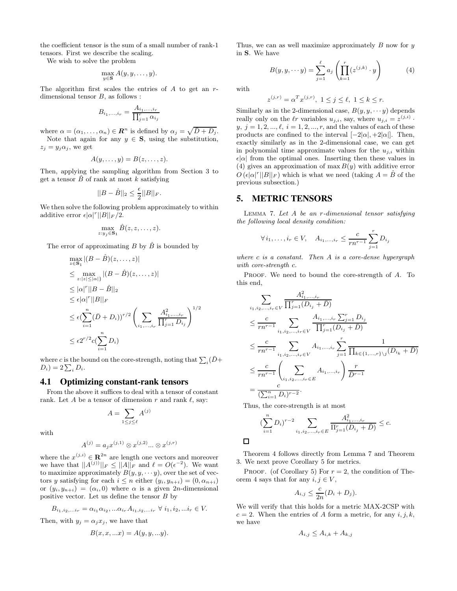the coefficient tensor is the sum of a small number of rank-1 tensors. First we describe the scaling.

We wish to solve the problem

$$
\max_{y \in \mathbf{S}} A(y, y, \dots, y).
$$

The algorithm first scales the entries of  $A$  to get an  $r$ dimensional tensor  $B$ , as follows :

$$
B_{i_1,...,i_r} = \frac{A_{i_1,...,i_r}}{\prod_{j=1}^r \alpha_{i_j}}
$$

where  $\alpha = (\alpha_1, \ldots, \alpha_n) \in \mathbb{R}^n$  is defined by  $\alpha_j = \sqrt{\bar{D} + D_j}$ .

Note that again for any  $y \in S$ , using the substitution,  $z_j = y_j \alpha_j$ , we get

$$
A(y,\ldots,y)=B(z,\ldots,z).
$$

Then, applying the sampling algorithm from Section 3 to get a tensor  $\ddot{B}$  of rank at most k satisfying

$$
||B-\hat{B}||_2 \le \frac{\epsilon}{2}||B||_F.
$$

We then solve the following problem approximately to within additive error  $\epsilon |\alpha|^r ||B||_F / 2$ .

$$
\max_{z:y_j\in\mathbf{S}_1}\hat{B}(z,z,\ldots,z).
$$

The error of approximating B by  $\hat{B}$  is bounded by

$$
\max_{z \in \mathbf{S}_1} |(B - \hat{B})(z, ..., z)|
$$
\n
$$
\leq \max_{z:|z| \leq |\alpha|} |(B - \hat{B})(z, ..., z)|
$$
\n
$$
\leq |\alpha|^{r} ||B - \hat{B}||_{2}
$$
\n
$$
\leq \epsilon |\alpha|^{r} ||B||_{F}
$$
\n
$$
\leq \epsilon (\sum_{i=1}^n (\bar{D} + D_i))^{r/2} \left( \sum_{i_1, ..., i_r} \frac{A_{i_1, ..., i_r}^2}{\prod_{j=1}^r D_{i_j}} \right)^{1/2}
$$
\n
$$
\leq \epsilon 2^{r/2} c(\sum_{i=1}^n D_i)
$$

where c is the bound on the core-strength, noting that  $\sum_i(\bar{D}+$  $D_i) = 2\sum_i D_i.$ 

#### **4.1 Optimizing constant-rank tensors**

From the above it suffices to deal with a tensor of constant rank. Let A be a tensor of dimension r and rank  $\ell$ , say:

$$
A = \sum_{1 \le j \le \ell} A^{(j)}
$$

with

$$
A^{(j)} = a_j x^{(j,1)} \otimes x^{(j,2)} \dots \otimes x^{(j,r)}
$$

where the  $x^{(j,i)} \in \mathbb{R}^{2n}$  are length one vectors and moreover we have that  $||A^{(j)}||_F \leq ||A||_F$  and  $\ell = O(\epsilon^{-2})$ . We want to maximize approximately  $B(y, y, \dots y)$ , over the set of vectors y satisfying for each  $i \leq n$  either  $(y_i, y_{n+i}) = (0, \alpha_{n+i})$ or  $(y_i, y_{n+i}) = (\alpha_i, 0)$  where  $\alpha$  is a given 2n-dimensional positive vector. Let us define the tensor  $B$  by

$$
B_{i_1, i_2, \dots i_r} = \alpha_{i_1} \alpha_{i_2}, \dots \alpha_{i_r} A_{i_1, i_2, \dots i_r} \ \forall \ i_1, i_2, \dots i_r \in V.
$$

Then, with  $y_j = \alpha_j x_j$ , we have that

$$
B(x, x, ... x) = A(y, y, ... y).
$$

Thus, we can as well maximize approximately  $B$  now for  $y$ in S. We have

$$
B(y, y, \cdots y) = \sum_{j=1}^{\ell} a_j \left( \prod_{k=1}^{r} (z^{(j,k)} \cdot y) \right)
$$
 (4)

with

$$
z^{(j,r)} = \alpha^T x^{(j,r)}, \ 1 \le j \le \ell, \ 1 \le k \le r.
$$

Similarly as in the 2-dimensional case,  $B(y, y, \dots y)$  depends really only on the  $\ell r$  variables  $u_{j,i}$ , say, where  $u_{j,i} = z^{(j,i)}$ .  $y, j = 1, 2, ..., \ell, i = 1, 2, ..., r$ , and the values of each of these products are confined to the interval  $[-2|\alpha|, +2|\alpha|]$ . Then, exactly similarly as in the 2-dimensional case, we can get in polynomial time approximate values for the  $u_{j,i}$  within  $\epsilon |\alpha|$  from the optimal ones. Inserting then these values in (4) gives an approximation of max  $B(y)$  with additive error  $O\left(\epsilon|\alpha|^r||B||_F\right)$  which is what we need (taking  $A = \hat{B}$  of the previous subsection.)

## **5. METRIC TENSORS**

LEMMA 7. Let  $A$  be an  $r$ -dimensional tensor satisfying the following local density condition:

$$
\forall i_1, \dots, i_r \in V, \quad A_{i_1, \dots, i_r} \leq \frac{c}{rn^{r-1}} \sum_{j=1}^r D_{i_j}
$$

where  $c$  is a constant. Then  $A$  is a core-dense hypergraph with core-strength c.

PROOF. We need to bound the core-strength of A. To this end,

$$
\sum_{i_1, i_2, \dots, i_r \in V} \frac{A_{i_1, \dots, i_r}^2}{\prod_{j=1}^r (D_{i_j} + \bar{D})}
$$
\n
$$
\leq \frac{c}{rn^{r-1}} \sum_{i_1, i_2, \dots, i_r \in V} \frac{A_{i_1, \dots, i_r} \sum_{j=1}^r D_{i_j}}{\prod_{j=1}^r (D_{i_j} + \bar{D})}
$$
\n
$$
\leq \frac{c}{rn^{r-1}} \sum_{i_1, i_2, \dots, i_r \in V} A_{i_1, \dots, i_r} \sum_{j=1}^r \frac{1}{\prod_{k \in \{1, \dots, r\} \setminus j} (D_{i_k} + \bar{D})}
$$
\n
$$
\leq \frac{c}{rn^{r-1}} \left( \sum_{i_1, i_2, \dots, i_r \in E} A_{i_1, \dots, i_r} \right) \frac{r}{\bar{D}^{r-1}}
$$
\n
$$
= \frac{c}{(\sum_{i=1}^n D_i)^{r-2}}.
$$

Thus, the core-strength is at most

$$
\left(\sum_{i=1}^{n} D_{i}\right)^{r-2} \sum_{i_{1}, i_{2}, \dots, i_{r} \in E} \frac{A_{i_{1}, \dots, i_{r}}^{2}}{\Pi_{j=1}^{r}(D_{i_{j}} + \bar{D})} \leq c.
$$

 $\Box$ 

Theorem 4 follows directly from Lemma 7 and Theorem 3. We next prove Corollary 5 for metrics.

PROOF. (of Corollary 5) For  $r = 2$ , the condition of Theorem 4 says that for any  $i, j \in V$ ,

$$
A_{i,j} \leq \frac{c}{2n}(D_i + D_j).
$$

We will verify that this holds for a metric MAX-2CSP with  $c = 2$ . When the entries of A form a metric, for any i, j, k, we have

$$
A_{i,j} \le A_{i,k} + A_{k,j}
$$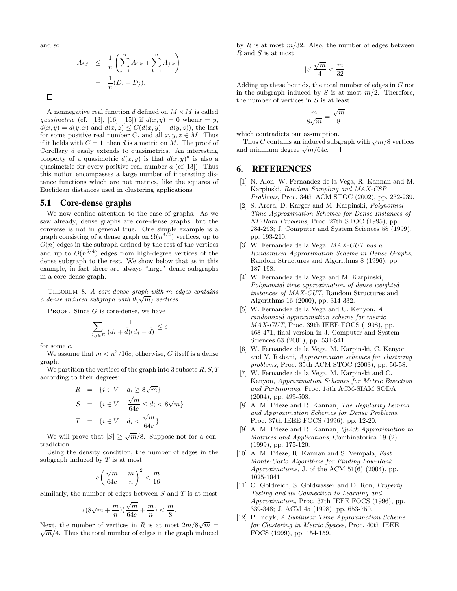and so

$$
A_{i,j} \leq \frac{1}{n} \left( \sum_{k=1}^n A_{i,k} + \sum_{k=1}^n A_{j,k} \right) \\
= \frac{1}{n} (D_i + D_j).
$$

 $\Box$ 

A nonnegative real function d defined on  $M \times M$  is called quasimetric (cf. [13], [16]; [15]) if  $d(x, y) = 0$  when  $x = y$ ,  $d(x, y) = d(y, x)$  and  $d(x, z) \leq C(d(x, y) + d(y, z))$ , the last for some positive real number C, and all  $x, y, z \in M$ . Thus if it holds with  $C = 1$ , then d is a metric on M. The proof of Corollary 5 easily extends to quasimetrics. An interesting property of a quasimetric  $d(x, y)$  is that  $d(x, y)^a$  is also a quasimetric for every positive real number  $a$  (cf.[13]). Thus this notion encompasses a large number of interesting distance functions which are not metrics, like the squares of Euclidean distances used in clustering applications.

#### **5.1 Core-dense graphs**

We now confine attention to the case of graphs. As we saw already, dense graphs are core-dense graphs, but the converse is not in general true. One simple example is a graph consisting of a dense graph on  $\Omega(n^{3/4})$  vertices, up to  $O(n)$  edges in the subraph defined by the rest of the vertices and up to  $O(n^{5/4})$  edges from high-degree vertices of the dense subgraph to the rest. We show below that as in this example, in fact there are always "large" dense subgraphs in a core-dense graph.

THEOREM 8. A core-dense graph with  $m$  edges contains a dense induced subgraph with  $\theta(\sqrt{m})$  vertices.

PROOF. Since  $G$  is core-dense, we have

$$
\sum_{i,j\in E} \frac{1}{(d_i + \bar{d})(d_j + \bar{d})} \leq c
$$

for some c.

We assume that  $m < n^2/16c$ ; otherwise, G itself is a dense graph.

We partition the vertices of the graph into 3 subsets  $R, S, T$ according to their degrees:

$$
R = \{i \in V : d_i \ge 8\sqrt{m}\}
$$
  

$$
S = \{i \in V : \frac{\sqrt{m}}{64c} \le d_i < 8\sqrt{m}\}
$$
  

$$
T = \{i \in V : d_i < \frac{\sqrt{m}}{64c}\}
$$

We will prove that  $|S| \ge \sqrt{m}/8$ . Suppose not for a contradiction.

Using the density condition, the number of edges in the subgraph induced by  $T$  is at most

$$
c\left(\frac{\sqrt{m}}{64c}+\frac{m}{n}\right)^2<\frac{m}{16}.
$$

Similarly, the number of edges between  $S$  and  $T$  is at most

$$
c(8\sqrt{m}+\frac{m}{n})(\frac{\sqrt{m}}{64c}+\frac{m}{n})<\frac{m}{8}
$$

.

Next, the number of vertices in R is at most  $2m/8\sqrt{m} = \sqrt{m}/4$ . Thus the total number of edges in the graph induced  $\sqrt{m}/4$ . Thus the total number of edges in the graph induced by R is at most  $m/32$ . Also, the number of edges between  $R$  and  $S$  is at most

$$
|S|\frac{\sqrt{m}}{4} < \frac{m}{32}.
$$

Adding up these bounds, the total number of edges in G not in the subgraph induced by S is at most  $m/2$ . Therefore, the number of vertices in  $S$  is at least

$$
\frac{m}{8\sqrt{m}} = \frac{\sqrt{m}}{8}
$$

which contradicts our assumption.

Thus G contains an induced subgraph with  $\sqrt{m}/8$  vertices and minimum degree  $\sqrt{m}/64c$ .

#### **6. REFERENCES**

- [1] N. Alon, W. Fernandez de la Vega, R. Kannan and M. Karpinski, Random Sampling and MAX-CSP Problems, Proc. 34th ACM STOC (2002), pp. 232-239.
- [2] S. Arora, D. Karger and M. Karpinski, Polynomial Time Approximation Schemes for Dense Instances of NP-Hard Problems, Proc. 27th STOC (1995), pp. 284-293; J. Computer and System Sciences 58 (1999), pp. 193-210.
- [3] W. Fernandez de la Vega, MAX-CUT has a Randomized Approximation Scheme in Dense Graphs, Random Structures and Algorithms 8 (1996), pp. 187-198.
- [4] W. Fernandez de la Vega and M. Karpinski, Polynomial time approximation of dense weighted instances of MAX-CUT, Random Structures and Algorithms 16 (2000), pp. 314-332.
- [5] W. Fernandez de la Vega and C. Kenyon, A randomized approximation scheme for metric MAX-CUT, Proc. 39th IEEE FOCS (1998), pp. 468-471, final version in J. Computer and System Sciences 63 (2001), pp. 531-541.
- [6] W. Fernandez de la Vega, M. Karpinski, C. Kenyon and Y. Rabani, Approximation schemes for clustering problems, Proc. 35th ACM STOC (2003), pp. 50-58.
- [7] W. Fernandez de la Vega, M. Karpinski and C. Kenyon, Approximation Schemes for Metric Bisection and Partitioning, Proc. 15th ACM-SIAM SODA (2004), pp. 499-508.
- [8] A. M. Frieze and R. Kannan, The Regularity Lemma and Approximation Schemes for Dense Problems, Proc. 37th IEEE FOCS (1996), pp. 12-20.
- A. M. Frieze and R. Kannan, *Quick Approximation to* Matrices and Applications, Combinatorica 19 (2) (1999), pp. 175-120.
- [10] A. M. Frieze, R. Kannan and S. Vempala, Fast Monte-Carlo Algorithms for Finding Low-Rank Approximations, J. of the ACM  $51(6)$  (2004), pp. 1025-1041.
- [11] O. Goldreich, S. Goldwasser and D. Ron, Property Testing and its Connection to Learning and Approximation, Proc. 37th IEEE FOCS (1996), pp. 339-348; J. ACM 45 (1998), pp. 653-750.
- [12] P. Indyk, A Sublinear Time Approximation Scheme for Clustering in Metric Spaces, Proc. 40th IEEE FOCS (1999), pp. 154-159.